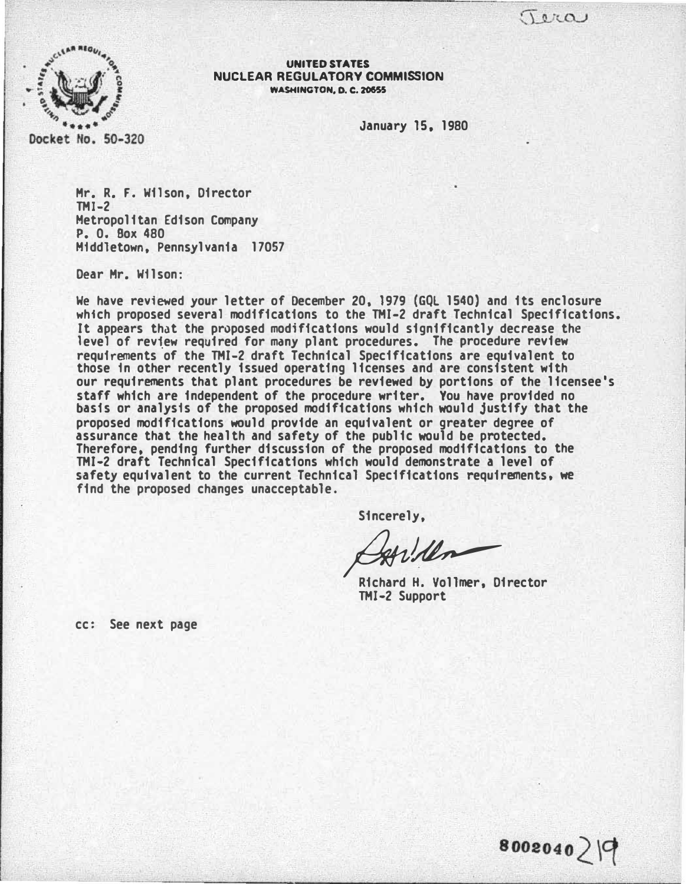$T$ 



UNITED STATES NUCLEAR REGULATORY COMMISSION WASHINGTON, D. C. 20555

January 15, 1980

Docket No. 50-320

Hr. R. F. Wilson, Director  $TMI-2$ Metropolitan Edison Company P. 0. Sox 480 Middletown, Pennsylvania 17057

Dear Hr. Wilson:

We have reviewed your letter of December 20, 1979 (GQL 1540) and its enclosure which proposed several modifications to the THI-2 draft Technical Specifications. It appears that the proposed modifications would significantly decrease the level of revtew required for many plant procedures. The procedure review requirements of the THI-2 draft Technical Specifications are equivalent to those in other recently issued operating licenses and are consistent with our requirements that plant procedures be reviewed by portions of the licensee's staff which are independent of the procedure writer. You have provided no basis or analysis of the proposed modifications which would justify that the proposed modifications would provide an equivalent or greater degree of assurance that the health and safety of the public would be protected. Therefore, pending further discussion of the proposed modifications to the THI-2 draft Technical Specifications which would demonstrate a level of safety equivalent to the current Technical Specifications requirements, we find the proposed changes unacceptable.

Sincerely,

 $1/dln$ 

 Richard H. Vollmer, Director THI-2 Support

8002040219

cc: See next page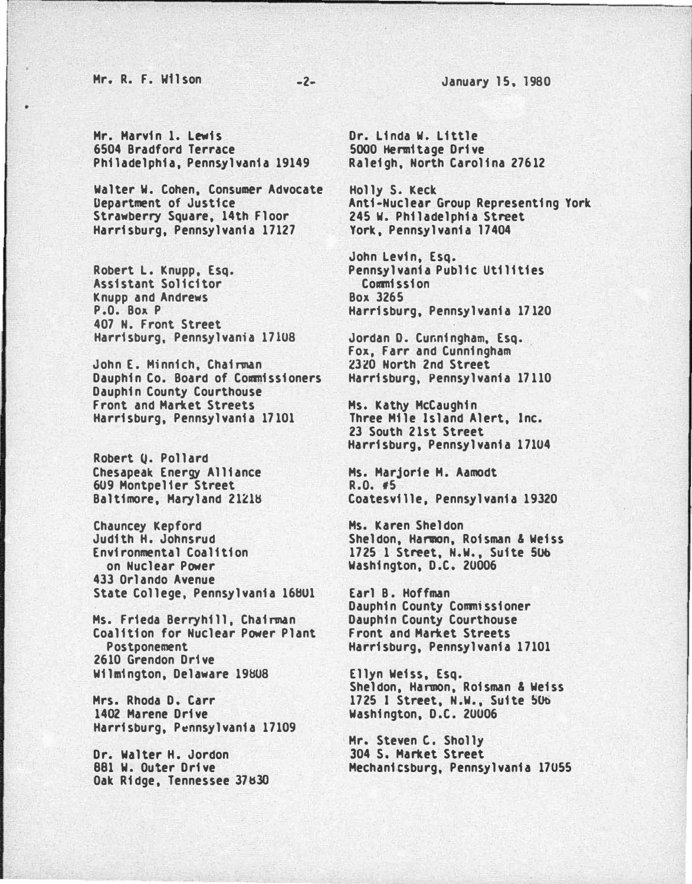# Mr. R. F. W11son - 2-

#### January 15, 1980

Hr. Harvin 1. Lewis 6504 Bradford Terrace Philadelphia. Pennsylvania 19149

Walter W. Cohen, Consumer Advocate Department of Justice Strawberry Square, 14th Floor Harrisburg. Pennsylvania 17127

Robert L. Knupp, Esq. Assistant Solicitor Knupp and Andrews P.O. Box P 407 N. Front Street Harrisburg, Pennsylvania 17108

John E. Minnich, Chairman Dauphin Co. Board of Commissioners Dauphin County Courthouse Front and Market Streets Harrisburg. Pennsylvania 17101

Robert Q. Pollard Chesapeak Energy Alliance 609 Montpelier Street Baltimore, Maryland 21218

Chauncey Kepford Judith H. Johnsrud Environmental Coalition on Nuclear Power 433 Orlando Avenue State College, Pennsylvania 16801

Ms. Frieda Berryhill, Chairman Coalition for Nuclear Power Plant Postponement 2610 Grendon Drive Wilmington, Delaware 19808

Mrs. Rhoda D. Carr 1402 Marene Drive Harrisburg, Pennsylvania 17109

Dr. Walter H. Jordon 881 w. Outer Drive Oak Ridge, Tennessee 37630 Dr. Linda w. Little 5000 Hermitage Drive Raleigh, North Carolina 27612

Holly s. Keck Anti-Nuclear Group Representing York 245 w. Philadelphia Street York, Pennsylvania 17404

John Levin. Esq. Pennsylvania Public Utilities Commission Box 3265 Harrisburg, Pennsylvania 17120

Jordan D. Cunningham, Esq. Fox. Farr and Cunningham 2320 North 2nd Street Harrisburg, Pennsylvania 17110

Ms. Katny HcCaughin Three Mile Island Alert. Inc. 23 South 21st Street Harrisburg, Pennsylvania 17104

Ms. Marjorie H. Aamodt R.O. #5 Coatesville. Pennsylvania 19320

Ms. Karen Sheldon Sheldon. Harmon, Roisman & Weiss 1725 1 Street, N.W., Suite SOb Washington. D.C. 20006

Earl B. Hoffman Dauphin County Commissioner Dauphin County Courthouse Front and Market Streets Harrisburg, Pennsylvania 17101

Ellyn Weiss, Esq. Sheldon, Harmon, Roisman & Weiss 1725 I Street, N.W., Suite SOb Washington, D.C. 20006

Hr. Steven c. Sholly 304 s. Market Street Mechanicsburg, Pennsylvania 17055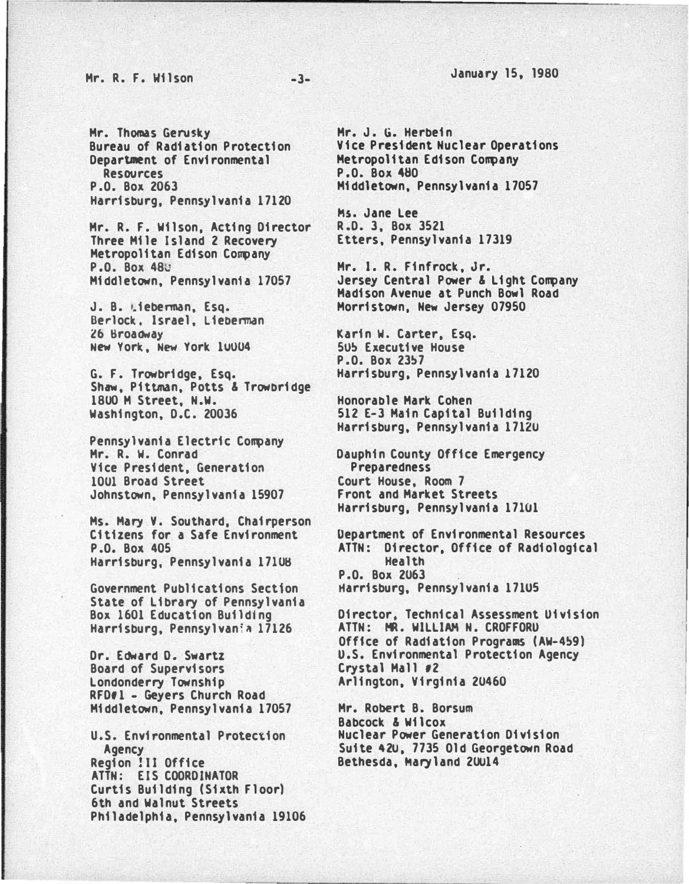## Hr. R. F. Wilson

 $-3-$ 

#### January 15, 1980

Mr. Thomas Gerusky Bureau of Radiation Protection Department of Environmental Resources P.O. Box 2063 Harrisburg, Pennsylvania 17120

Hr. R. F. Wilson, Acting Director Three Mile Island 2 Recovery Metropolitan Edison Company P.O. Box 48.! Middletown, Pennsylvania 17057

J. B. Lieberman, Esq. Berlock, Israel, Lieberman 26 Broadway New York, New York 1UU04

G. F. Trowbridge, Esq. Shaw, Pittman, Potts & Trowbridge 1800 H Street, N.W. Washington, D.C. 20036

Pennsylvania Electric Company Hr. R. w. Conrad Vice President, Generation 1001 Broad Street Johnstown, Pennsylvania 15907

Ms. Mary v. Southard, Chairperson Citizens for a Safe Environment P.O. Box 405 Harrisburg, Pennsylvania 17108

Government Publications Section State of Library of Pennsylvania Box 1601 Education Buildfng Harrisburg, Pennsylvan:a 17126

Dr. Edward D. Swartz Board of Supervisors Londonderry Township RFDf1 - Geyers Church Road Middletown, Pennsylvania 17057

u.s. Environmental Protection Agency Region Ill Office ATTN: EIS COORDINATOR Curtis Building (Sixth Floor) 6th and Walnut Streets Philadelphia, Pennsylvania 19106 Hr. J. G. Herbein Vice President Nuclear Operations Metropolitan Edison Company P.O. Box 4BO Middletown, Pennsylvania 17057

Ms. Jane Lee R.D. 3, Box 3521 Etters, Pennsylvania 17319

Hr. I. R. Finfrock, Jr. Jersey Central Power & Light Company Hadison Avenue at Punch Bowl Road Morristown, New Jersey 07950

Karin w. Carter, Esq. 5U� Executive House P.O. Box 23�7 Harrisburg, Pennsylvania 17120

Honorable Hark Cohen 512 E-3 Main Capital Building Harrisburg, Pennsylvania 17120

Dauphin County Office Emergency Preparedness Court House, Room 7 Front and Market Streets Harrisburg, Pennsylvania 17101

Department of Environmental Resources ATTN: Director, Office of Radiological Health P.O. Box 2063 �arrisburg, Pennsylvania 171US

Director, Technical Assessment Uivision ATTN: HR. WILLIAM N. CROFFORU Offtce of Radiation Programs (AW-4�9) U.S. Environmental Protection Agency Crystal Mall #2 Arlington, Virginia 20460

Hr. Robert B. Borsum Babcock & Wilcox Nuclear Power Generation Division Suite 420, 7735 Old Georgetown Road Bethesda, Maryland 20014